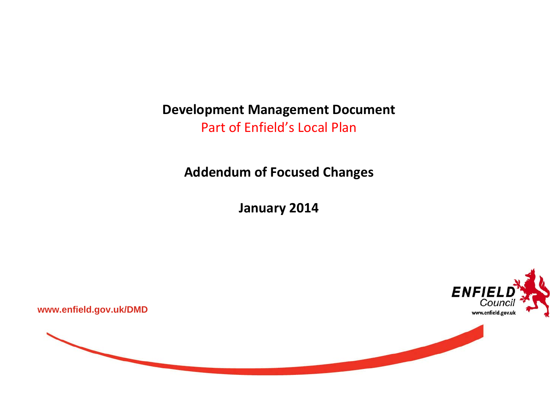**Development Management Document** Part of Enfield's Local Plan

**Addendum of Focused Changes**

**January 2014**



**www.enfield.gov.uk/DMD** 

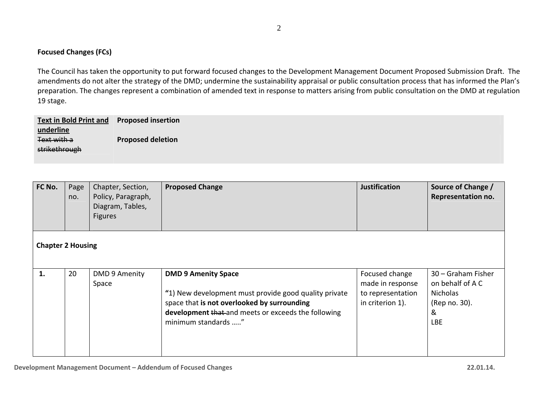## **Focused Changes (FCs)**

The Council has taken the opportunity to put forward focused changes to the Development Management Document Proposed Submission Draft. The amendments do not alter the strategy of the DMD; undermine the sustainability appraisal or public consultation process that has informed the Plan's preparation. The changes represent <sup>a</sup> combination of amended text in response to matters arising from public consultation on the DMD at regulation 19 stage.

| <b>Text in Bold Print and</b> | <b>Proposed insertion</b> |
|-------------------------------|---------------------------|
| underline                     |                           |
| Text with a                   | <b>Proposed deletion</b>  |
| strikethrough                 |                           |
|                               |                           |

| FC No.                   | Page<br>no. | Chapter, Section,<br>Policy, Paragraph,<br>Diagram, Tables,<br><b>Figures</b> | <b>Proposed Change</b>                                                                                                                                                                                           | <b>Justification</b>                                                        | Source of Change /<br>Representation no.                                                      |
|--------------------------|-------------|-------------------------------------------------------------------------------|------------------------------------------------------------------------------------------------------------------------------------------------------------------------------------------------------------------|-----------------------------------------------------------------------------|-----------------------------------------------------------------------------------------------|
| <b>Chapter 2 Housing</b> |             |                                                                               |                                                                                                                                                                                                                  |                                                                             |                                                                                               |
| 1.                       | 20          | DMD 9 Amenity<br>Space                                                        | <b>DMD 9 Amenity Space</b><br>"1) New development must provide good quality private<br>space that is not overlooked by surrounding<br>development that and meets or exceeds the following<br>minimum standards " | Focused change<br>made in response<br>to representation<br>in criterion 1). | 30 - Graham Fisher<br>on behalf of A C<br><b>Nicholas</b><br>(Rep no. 30).<br>&<br><b>LBE</b> |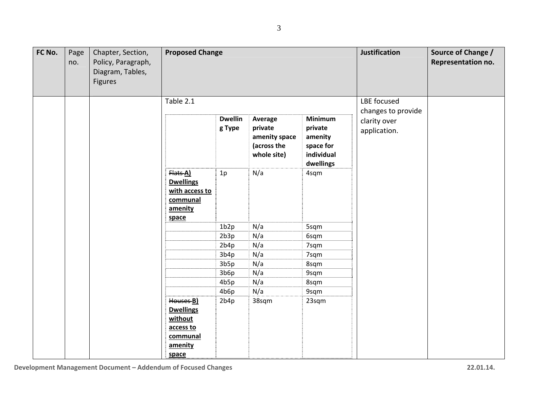3

| FC No. | Page<br>no. | Chapter, Section,<br>Policy, Paragraph,<br>Diagram, Tables,<br><b>Figures</b> | <b>Proposed Change</b>                                                                       |                          |                                                                   |                                                                       | <b>Justification</b>              | Source of Change /<br>Representation no. |
|--------|-------------|-------------------------------------------------------------------------------|----------------------------------------------------------------------------------------------|--------------------------|-------------------------------------------------------------------|-----------------------------------------------------------------------|-----------------------------------|------------------------------------------|
|        |             |                                                                               | Table 2.1                                                                                    |                          |                                                                   |                                                                       | LBE focused<br>changes to provide |                                          |
|        |             |                                                                               |                                                                                              | <b>Dwellin</b><br>g Type | Average<br>private<br>amenity space<br>(across the<br>whole site) | Minimum<br>private<br>amenity<br>space for<br>individual<br>dwellings | clarity over<br>application.      |                                          |
|        |             |                                                                               | Flats A)<br><b>Dwellings</b><br>with access to<br>communal<br>amenity<br>space               | 1p                       | N/a                                                               | 4sqm                                                                  |                                   |                                          |
|        |             |                                                                               |                                                                                              | 1b2p                     | N/a                                                               | 5sqm                                                                  |                                   |                                          |
|        |             |                                                                               |                                                                                              | 2b3p                     | N/a                                                               | 6sqm                                                                  |                                   |                                          |
|        |             |                                                                               |                                                                                              | 2b4p                     | N/a                                                               | 7sqm                                                                  |                                   |                                          |
|        |             |                                                                               |                                                                                              | 3b4p                     | N/a                                                               | 7sqm                                                                  |                                   |                                          |
|        |             |                                                                               |                                                                                              | 3b5p                     | N/a                                                               | 8sqm                                                                  |                                   |                                          |
|        |             |                                                                               |                                                                                              | 3b6p                     | N/a                                                               | 9sqm                                                                  |                                   |                                          |
|        |             |                                                                               |                                                                                              | 4b5p                     | N/a                                                               | 8sqm                                                                  |                                   |                                          |
|        |             |                                                                               |                                                                                              | 4b6p                     | N/a                                                               | 9sqm                                                                  |                                   |                                          |
|        |             |                                                                               | Houses <b>B)</b><br><b>Dwellings</b><br>without<br>access to<br>communal<br>amenity<br>space | 2b4p                     | 38sqm                                                             | 23sqm                                                                 |                                   |                                          |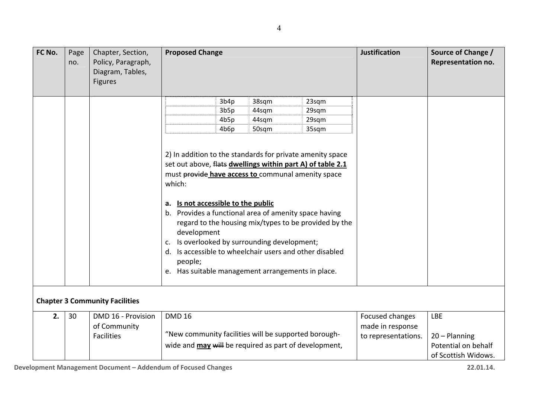| FC No. | Page<br>no. | Chapter, Section,<br>Policy, Paragraph,<br>Diagram, Tables,<br><b>Figures</b> | <b>Proposed Change</b>                                                                                                                                                                                                                                                                                                                                      |      |       |                                                                                                                                                                                  | <b>Justification</b> | Source of Change /<br><b>Representation no.</b> |
|--------|-------------|-------------------------------------------------------------------------------|-------------------------------------------------------------------------------------------------------------------------------------------------------------------------------------------------------------------------------------------------------------------------------------------------------------------------------------------------------------|------|-------|----------------------------------------------------------------------------------------------------------------------------------------------------------------------------------|----------------------|-------------------------------------------------|
|        |             |                                                                               |                                                                                                                                                                                                                                                                                                                                                             | 3b4p | 38sqm | 23sqm                                                                                                                                                                            |                      |                                                 |
|        |             |                                                                               |                                                                                                                                                                                                                                                                                                                                                             | 3b5p | 44sqm | 29sqm                                                                                                                                                                            |                      |                                                 |
|        |             |                                                                               |                                                                                                                                                                                                                                                                                                                                                             | 4b5p | 44sqm | 29sqm                                                                                                                                                                            |                      |                                                 |
|        |             |                                                                               |                                                                                                                                                                                                                                                                                                                                                             | 4b6p | 50sqm | 35sqm                                                                                                                                                                            |                      |                                                 |
|        |             |                                                                               | must provide have access to communal amenity space<br>which:<br>Is not accessible to the public<br>а.<br>b. Provides a functional area of amenity space having<br>development<br>Is overlooked by surrounding development;<br>c.<br>d. Is accessible to wheelchair users and other disabled<br>people;<br>e. Has suitable management arrangements in place. |      |       | 2) In addition to the standards for private amenity space<br>set out above, flats dwellings within part A) of table 2.1<br>regard to the housing mix/types to be provided by the |                      |                                                 |
|        |             | <b>Chapter 3 Community Facilities</b>                                         |                                                                                                                                                                                                                                                                                                                                                             |      |       |                                                                                                                                                                                  |                      |                                                 |
| 2.     | 30          | DMD 16 - Provision                                                            | <b>DMD 16</b>                                                                                                                                                                                                                                                                                                                                               |      |       |                                                                                                                                                                                  | Focused changes      | <b>LBE</b>                                      |
|        |             | of Community                                                                  |                                                                                                                                                                                                                                                                                                                                                             |      |       |                                                                                                                                                                                  | made in response     |                                                 |
|        |             | <b>Facilities</b>                                                             | "New community facilities will be supported borough-                                                                                                                                                                                                                                                                                                        |      |       |                                                                                                                                                                                  | to representations.  | $20 -$ Planning                                 |
|        |             |                                                                               | wide and <b>may will</b> be required as part of development,                                                                                                                                                                                                                                                                                                |      |       |                                                                                                                                                                                  |                      | Potential on behalf                             |
|        |             |                                                                               |                                                                                                                                                                                                                                                                                                                                                             |      |       |                                                                                                                                                                                  |                      | of Scottish Widows.                             |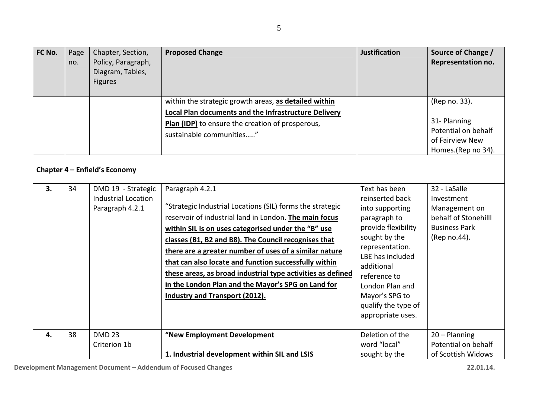| FC No. | Page<br>no. | Chapter, Section,<br>Policy, Paragraph,<br>Diagram, Tables,<br><b>Figures</b> | <b>Proposed Change</b>                                                                                                                                                                                                                                                                                                                                                                                                                                                                                                                 | <b>Justification</b>                                                                                                                                                                                                                                              | Source of Change /<br><b>Representation no.</b>                                                             |
|--------|-------------|-------------------------------------------------------------------------------|----------------------------------------------------------------------------------------------------------------------------------------------------------------------------------------------------------------------------------------------------------------------------------------------------------------------------------------------------------------------------------------------------------------------------------------------------------------------------------------------------------------------------------------|-------------------------------------------------------------------------------------------------------------------------------------------------------------------------------------------------------------------------------------------------------------------|-------------------------------------------------------------------------------------------------------------|
|        |             | Chapter 4 - Enfield's Economy                                                 | within the strategic growth areas, as detailed within<br><b>Local Plan documents and the Infrastructure Delivery</b><br>Plan (IDP) to ensure the creation of prosperous,<br>sustainable communities"                                                                                                                                                                                                                                                                                                                                   |                                                                                                                                                                                                                                                                   | (Rep no. 33).<br>31-Planning<br>Potential on behalf<br>of Fairview New<br>Homes.(Rep no 34).                |
| 3.     | 34          | DMD 19 - Strategic<br><b>Industrial Location</b><br>Paragraph 4.2.1           | Paragraph 4.2.1<br>"Strategic Industrial Locations (SIL) forms the strategic<br>reservoir of industrial land in London. The main focus<br>within SIL is on uses categorised under the "B" use<br>classes (B1, B2 and B8). The Council recognises that<br>there are a greater number of uses of a similar nature<br>that can also locate and function successfully within<br>these areas, as broad industrial type activities as defined<br>in the London Plan and the Mayor's SPG on Land for<br><b>Industry and Transport (2012).</b> | Text has been<br>reinserted back<br>into supporting<br>paragraph to<br>provide flexibility<br>sought by the<br>representation.<br>LBE has included<br>additional<br>reference to<br>London Plan and<br>Mayor's SPG to<br>qualify the type of<br>appropriate uses. | 32 - LaSalle<br>Investment<br>Management on<br>behalf of Stonehilll<br><b>Business Park</b><br>(Rep no.44). |
| 4.     | 38          | <b>DMD 23</b><br>Criterion 1b                                                 | "New Employment Development<br>1. Industrial development within SIL and LSIS                                                                                                                                                                                                                                                                                                                                                                                                                                                           | Deletion of the<br>word "local"<br>sought by the                                                                                                                                                                                                                  | $20 -$ Planning<br>Potential on behalf<br>of Scottish Widows                                                |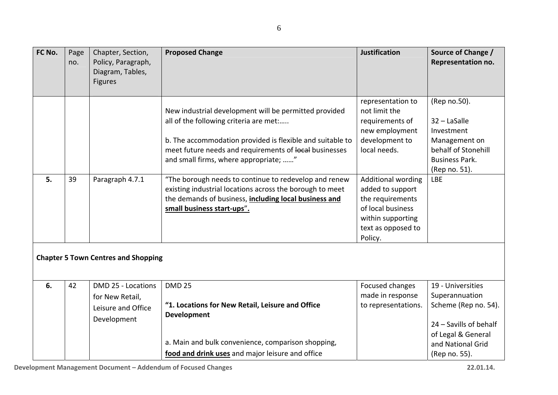| FC No. | Page<br>no. | Chapter, Section,<br>Policy, Paragraph,<br>Diagram, Tables,<br><b>Figures</b> | <b>Proposed Change</b>                                                                                                                                                                                                                                          | <b>Justification</b>                                                                                                                         | Source of Change /<br>Representation no.                                                                                     |
|--------|-------------|-------------------------------------------------------------------------------|-----------------------------------------------------------------------------------------------------------------------------------------------------------------------------------------------------------------------------------------------------------------|----------------------------------------------------------------------------------------------------------------------------------------------|------------------------------------------------------------------------------------------------------------------------------|
|        |             |                                                                               | New industrial development will be permitted provided<br>all of the following criteria are met:<br>b. The accommodation provided is flexible and suitable to<br>meet future needs and requirements of local businesses<br>and small firms, where appropriate; " | representation to<br>not limit the<br>requirements of<br>new employment<br>development to<br>local needs.                                    | (Rep no.50).<br>32 - LaSalle<br>Investment<br>Management on<br>behalf of Stonehill<br><b>Business Park.</b><br>(Rep no. 51). |
| 5.     | 39          | Paragraph 4.7.1                                                               | "The borough needs to continue to redevelop and renew<br>existing industrial locations across the borough to meet<br>the demands of business, including local business and<br>small business start-ups".                                                        | <b>Additional wording</b><br>added to support<br>the requirements<br>of local business<br>within supporting<br>text as opposed to<br>Policy. | <b>LBE</b>                                                                                                                   |
|        |             | <b>Chapter 5 Town Centres and Shopping</b>                                    |                                                                                                                                                                                                                                                                 |                                                                                                                                              |                                                                                                                              |
| 6.     | 42          | DMD 25 - Locations<br>for New Retail,<br>Leisure and Office<br>Development    | <b>DMD 25</b><br>"1. Locations for New Retail, Leisure and Office<br><b>Development</b>                                                                                                                                                                         | Focused changes<br>made in response<br>to representations.                                                                                   | 19 - Universities<br>Superannuation<br>Scheme (Rep no. 54).<br>24 - Savills of behalf<br>of Legal & General                  |
|        |             |                                                                               | a. Main and bulk convenience, comparison shopping,<br>food and drink uses and major leisure and office                                                                                                                                                          |                                                                                                                                              | and National Grid<br>(Rep no. 55).                                                                                           |
|        |             |                                                                               |                                                                                                                                                                                                                                                                 |                                                                                                                                              |                                                                                                                              |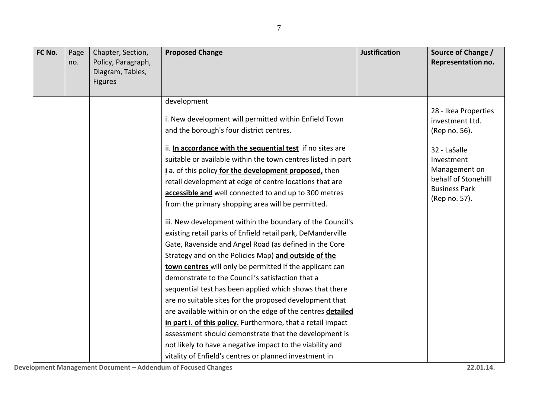| FC No. | Page<br>no. | Chapter, Section,<br>Policy, Paragraph,<br>Diagram, Tables,<br><b>Figures</b> | <b>Proposed Change</b>                                                                                                                                                                                                                                                                                                                                                                                                                                                                                                                                                                                                                                                                                                                                                                                                                                                                                                                                                                                                                                                                                                                                                                                                                                                               | <b>Justification</b> | Source of Change /<br>Representation no.                                                                                                                                 |
|--------|-------------|-------------------------------------------------------------------------------|--------------------------------------------------------------------------------------------------------------------------------------------------------------------------------------------------------------------------------------------------------------------------------------------------------------------------------------------------------------------------------------------------------------------------------------------------------------------------------------------------------------------------------------------------------------------------------------------------------------------------------------------------------------------------------------------------------------------------------------------------------------------------------------------------------------------------------------------------------------------------------------------------------------------------------------------------------------------------------------------------------------------------------------------------------------------------------------------------------------------------------------------------------------------------------------------------------------------------------------------------------------------------------------|----------------------|--------------------------------------------------------------------------------------------------------------------------------------------------------------------------|
|        |             |                                                                               | development<br>i. New development will permitted within Enfield Town<br>and the borough's four district centres.<br>ii. In accordance with the sequential test if no sites are<br>suitable or available within the town centres listed in part<br>i a. of this policy for the development proposed, then<br>retail development at edge of centre locations that are<br>accessible and well connected to and up to 300 metres<br>from the primary shopping area will be permitted.<br>iii. New development within the boundary of the Council's<br>existing retail parks of Enfield retail park, DeManderville<br>Gate, Ravenside and Angel Road (as defined in the Core<br>Strategy and on the Policies Map) and outside of the<br>town centres will only be permitted if the applicant can<br>demonstrate to the Council's satisfaction that a<br>sequential test has been applied which shows that there<br>are no suitable sites for the proposed development that<br>are available within or on the edge of the centres detailed<br>in part i. of this policy. Furthermore, that a retail impact<br>assessment should demonstrate that the development is<br>not likely to have a negative impact to the viability and<br>vitality of Enfield's centres or planned investment in |                      | 28 - Ikea Properties<br>investment Ltd.<br>(Rep no. 56).<br>32 - LaSalle<br>Investment<br>Management on<br>behalf of Stonehilll<br><b>Business Park</b><br>(Rep no. 57). |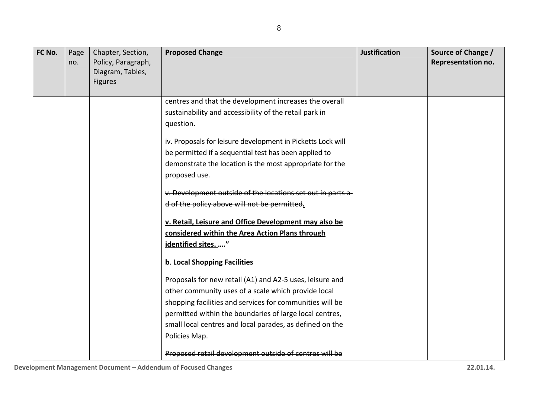| FC No. | Page<br>no. | Chapter, Section,<br>Policy, Paragraph,<br>Diagram, Tables,<br><b>Figures</b> | <b>Proposed Change</b>                                      | <b>Justification</b> | Source of Change /<br><b>Representation no.</b> |
|--------|-------------|-------------------------------------------------------------------------------|-------------------------------------------------------------|----------------------|-------------------------------------------------|
|        |             |                                                                               | centres and that the development increases the overall      |                      |                                                 |
|        |             |                                                                               | sustainability and accessibility of the retail park in      |                      |                                                 |
|        |             |                                                                               | question.                                                   |                      |                                                 |
|        |             |                                                                               | iv. Proposals for leisure development in Picketts Lock will |                      |                                                 |
|        |             |                                                                               | be permitted if a sequential test has been applied to       |                      |                                                 |
|        |             |                                                                               | demonstrate the location is the most appropriate for the    |                      |                                                 |
|        |             |                                                                               | proposed use.                                               |                      |                                                 |
|        |             |                                                                               | v. Development outside of the locations set out in parts a- |                      |                                                 |
|        |             |                                                                               | d of the policy above will not be permitted.                |                      |                                                 |
|        |             |                                                                               | v. Retail, Leisure and Office Development may also be       |                      |                                                 |
|        |             |                                                                               | considered within the Area Action Plans through             |                      |                                                 |
|        |             |                                                                               | identified sites. "                                         |                      |                                                 |
|        |             |                                                                               | b. Local Shopping Facilities                                |                      |                                                 |
|        |             |                                                                               | Proposals for new retail (A1) and A2-5 uses, leisure and    |                      |                                                 |
|        |             |                                                                               | other community uses of a scale which provide local         |                      |                                                 |
|        |             |                                                                               | shopping facilities and services for communities will be    |                      |                                                 |
|        |             |                                                                               | permitted within the boundaries of large local centres,     |                      |                                                 |
|        |             |                                                                               | small local centres and local parades, as defined on the    |                      |                                                 |
|        |             |                                                                               | Policies Map.                                               |                      |                                                 |
|        |             |                                                                               | Proposed retail development outside of centres will be      |                      |                                                 |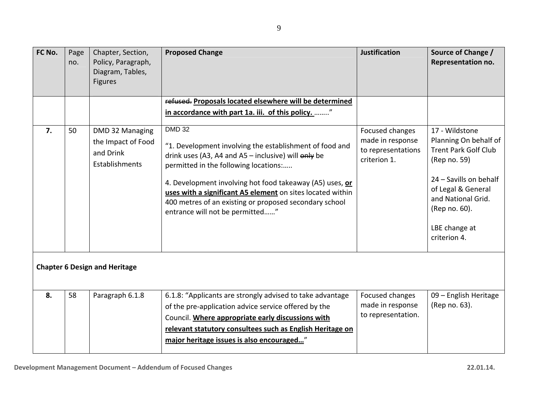| FC No. | Page<br>no. | Chapter, Section,<br>Policy, Paragraph,<br>Diagram, Tables,<br><b>Figures</b> | <b>Proposed Change</b>                                                                                                                                                                                                                                                                                                                                                                                    | <b>Justification</b>                                                      | Source of Change /<br>Representation no.                                                                                                                                                                       |
|--------|-------------|-------------------------------------------------------------------------------|-----------------------------------------------------------------------------------------------------------------------------------------------------------------------------------------------------------------------------------------------------------------------------------------------------------------------------------------------------------------------------------------------------------|---------------------------------------------------------------------------|----------------------------------------------------------------------------------------------------------------------------------------------------------------------------------------------------------------|
|        |             |                                                                               | refused. Proposals located elsewhere will be determined                                                                                                                                                                                                                                                                                                                                                   |                                                                           |                                                                                                                                                                                                                |
|        |             |                                                                               | in accordance with part 1a. iii. of this policy. "                                                                                                                                                                                                                                                                                                                                                        |                                                                           |                                                                                                                                                                                                                |
| 7.     | 50          | DMD 32 Managing<br>the Impact of Food<br>and Drink<br>Establishments          | <b>DMD 32</b><br>"1. Development involving the establishment of food and<br>drink uses (A3, A4 and A5 $-$ inclusive) will $\theta$ nly be<br>permitted in the following locations:<br>4. Development involving hot food takeaway (A5) uses, or<br>uses with a significant A5 element on sites located within<br>400 metres of an existing or proposed secondary school<br>entrance will not be permitted" | Focused changes<br>made in response<br>to representations<br>criterion 1. | 17 - Wildstone<br>Planning On behalf of<br><b>Trent Park Golf Club</b><br>(Rep no. 59)<br>24 - Savills on behalf<br>of Legal & General<br>and National Grid.<br>(Rep no. 60).<br>LBE change at<br>criterion 4. |
|        |             | <b>Chapter 6 Design and Heritage</b>                                          |                                                                                                                                                                                                                                                                                                                                                                                                           |                                                                           |                                                                                                                                                                                                                |
| 8.     | 58          | Paragraph 6.1.8                                                               | 6.1.8: "Applicants are strongly advised to take advantage                                                                                                                                                                                                                                                                                                                                                 | Focused changes                                                           | 09 - English Heritage                                                                                                                                                                                          |
|        |             |                                                                               | of the pre-application advice service offered by the<br>Council. Where appropriate early discussions with                                                                                                                                                                                                                                                                                                 | made in response<br>to representation.                                    | (Rep no. 63).                                                                                                                                                                                                  |
|        |             |                                                                               | relevant statutory consultees such as English Heritage on                                                                                                                                                                                                                                                                                                                                                 |                                                                           |                                                                                                                                                                                                                |
|        |             |                                                                               | major heritage issues is also encouraged"                                                                                                                                                                                                                                                                                                                                                                 |                                                                           |                                                                                                                                                                                                                |
|        |             |                                                                               |                                                                                                                                                                                                                                                                                                                                                                                                           |                                                                           |                                                                                                                                                                                                                |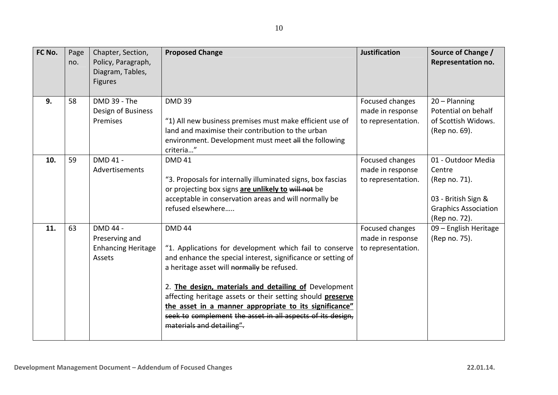10

| FC No. | Page<br>no. | Chapter, Section,<br>Policy, Paragraph,<br>Diagram, Tables,<br><b>Figures</b> | <b>Proposed Change</b>                                                                                                                                                                                                                                                                                                                                                                                                                                             | <b>Justification</b>                                      | Source of Change /<br><b>Representation no.</b>                                                                      |
|--------|-------------|-------------------------------------------------------------------------------|--------------------------------------------------------------------------------------------------------------------------------------------------------------------------------------------------------------------------------------------------------------------------------------------------------------------------------------------------------------------------------------------------------------------------------------------------------------------|-----------------------------------------------------------|----------------------------------------------------------------------------------------------------------------------|
| 9.     | 58          | DMD 39 - The<br>Design of Business<br>Premises                                | <b>DMD 39</b><br>"1) All new business premises must make efficient use of<br>land and maximise their contribution to the urban<br>environment. Development must meet all the following<br>criteria"                                                                                                                                                                                                                                                                | Focused changes<br>made in response<br>to representation. | $20 -$ Planning<br>Potential on behalf<br>of Scottish Widows.<br>(Rep no. 69).                                       |
| 10.    | 59          | DMD 41 -<br>Advertisements                                                    | <b>DMD 41</b><br>"3. Proposals for internally illuminated signs, box fascias<br>or projecting box signs are unlikely to will not be<br>acceptable in conservation areas and will normally be<br>refused elsewhere                                                                                                                                                                                                                                                  | Focused changes<br>made in response<br>to representation. | 01 - Outdoor Media<br>Centre<br>(Rep no. 71).<br>03 - British Sign &<br><b>Graphics Association</b><br>(Rep no. 72). |
| 11.    | 63          | DMD 44 -<br>Preserving and<br><b>Enhancing Heritage</b><br>Assets             | <b>DMD 44</b><br>"1. Applications for development which fail to conserve<br>and enhance the special interest, significance or setting of<br>a heritage asset will normally be refused.<br>2. The design, materials and detailing of Development<br>affecting heritage assets or their setting should preserve<br>the asset in a manner appropriate to its significance"<br>seek to complement the asset in all aspects of its design,<br>materials and detailing". | Focused changes<br>made in response<br>to representation. | 09 - English Heritage<br>(Rep no. 75).                                                                               |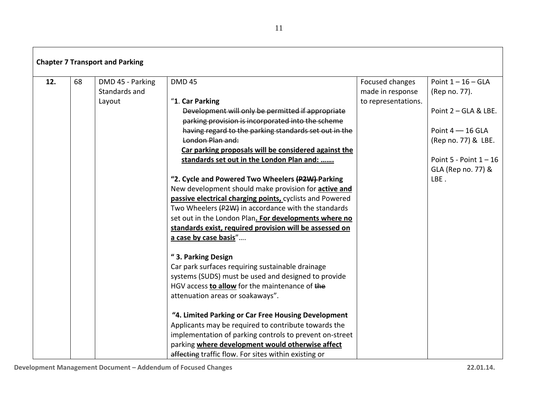| 12. | 68 | DMD 45 - Parking | <b>DMD 45</b>                                               | Focused changes     | Point $1 - 16 - GLA$     |
|-----|----|------------------|-------------------------------------------------------------|---------------------|--------------------------|
|     |    | Standards and    |                                                             | made in response    | (Rep no. 77).            |
|     |    | Layout           | "1. Car Parking                                             | to representations. |                          |
|     |    |                  | Development will only be permitted if appropriate           |                     | Point 2 - GLA & LBE.     |
|     |    |                  | parking provision is incorporated into the scheme           |                     |                          |
|     |    |                  | having regard to the parking standards set out in the       |                     | Point $4 - 16$ GLA       |
|     |    |                  | London Plan and:                                            |                     | (Rep no. 77) & LBE.      |
|     |    |                  | Car parking proposals will be considered against the        |                     |                          |
|     |    |                  | standards set out in the London Plan and:                   |                     | Point 5 - Point $1 - 16$ |
|     |    |                  |                                                             |                     | GLA (Rep no. 77) &       |
|     |    |                  | "2. Cycle and Powered Two Wheelers (P2W)-Parking            |                     | LBE.                     |
|     |    |                  | New development should make provision for <b>active and</b> |                     |                          |
|     |    |                  | passive electrical charging points, cyclists and Powered    |                     |                          |
|     |    |                  | Two Wheelers (P2W) in accordance with the standards         |                     |                          |
|     |    |                  | set out in the London Plan. For developments where no       |                     |                          |
|     |    |                  | standards exist, required provision will be assessed on     |                     |                          |
|     |    |                  | a case by case basis"                                       |                     |                          |
|     |    |                  | "3. Parking Design                                          |                     |                          |
|     |    |                  | Car park surfaces requiring sustainable drainage            |                     |                          |
|     |    |                  | systems (SUDS) must be used and designed to provide         |                     |                          |
|     |    |                  | HGV access to allow for the maintenance of the              |                     |                          |
|     |    |                  | attenuation areas or soakaways".                            |                     |                          |
|     |    |                  | "4. Limited Parking or Car Free Housing Development         |                     |                          |
|     |    |                  | Applicants may be required to contribute towards the        |                     |                          |
|     |    |                  | implementation of parking controls to prevent on-street     |                     |                          |
|     |    |                  | parking where development would otherwise affect            |                     |                          |
|     |    |                  | affecting traffic flow. For sites within existing or        |                     |                          |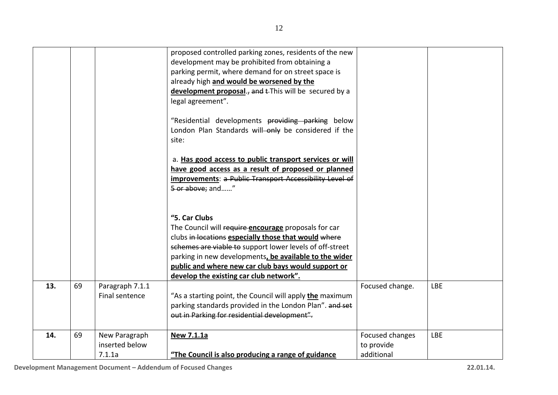|     |    |                                           | proposed controlled parking zones, residents of the new<br>development may be prohibited from obtaining a<br>parking permit, where demand for on street space is<br>already high and would be worsened by the<br>development proposal., and EThis will be secured by a<br>legal agreement".<br>"Residential developments providing parking below |                                             |            |
|-----|----|-------------------------------------------|--------------------------------------------------------------------------------------------------------------------------------------------------------------------------------------------------------------------------------------------------------------------------------------------------------------------------------------------------|---------------------------------------------|------------|
|     |    |                                           | London Plan Standards will-only be considered if the<br>site:<br>a. Has good access to public transport services or will                                                                                                                                                                                                                         |                                             |            |
|     |    |                                           | have good access as a result of proposed or planned<br>improvements: a Public Transport Accessibility Level of<br>5 or above; and"                                                                                                                                                                                                               |                                             |            |
|     |    |                                           | "5. Car Clubs<br>The Council will require encourage proposals for car                                                                                                                                                                                                                                                                            |                                             |            |
|     |    |                                           | clubs in locations especially those that would where<br>schemes are viable to support lower levels of off-street<br>parking in new developments, be available to the wider                                                                                                                                                                       |                                             |            |
|     |    |                                           | public and where new car club bays would support or<br>develop the existing car club network".                                                                                                                                                                                                                                                   |                                             |            |
| 13. | 69 | Paragraph 7.1.1<br>Final sentence         | "As a starting point, the Council will apply <b>the</b> maximum<br>parking standards provided in the London Plan". and set<br>out in Parking for residential development".                                                                                                                                                                       | Focused change.                             | <b>LBE</b> |
| 14. | 69 | New Paragraph<br>inserted below<br>7.1.1a | New 7.1.1a<br>"The Council is also producing a range of guidance                                                                                                                                                                                                                                                                                 | Focused changes<br>to provide<br>additional | <b>LBE</b> |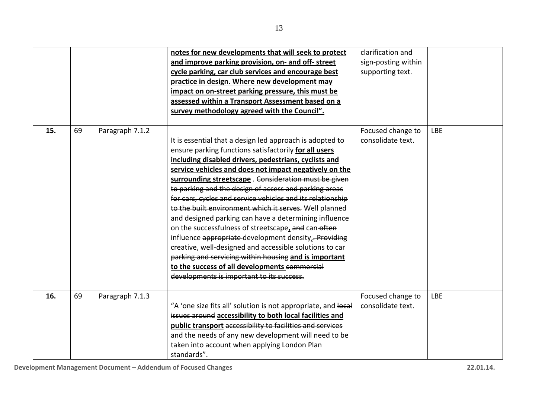|     |    |                 | notes for new developments that will seek to protect<br>and improve parking provision, on- and off-street<br>cycle parking, car club services and encourage best<br>practice in design. Where new development may<br>impact on on-street parking pressure, this must be<br>assessed within a Transport Assessment based on a<br>survey methodology agreed with the Council".                                                                                                                                                                                                                                                                                                                                                                                                                                                                                              | clarification and<br>sign-posting within<br>supporting text. |            |
|-----|----|-----------------|---------------------------------------------------------------------------------------------------------------------------------------------------------------------------------------------------------------------------------------------------------------------------------------------------------------------------------------------------------------------------------------------------------------------------------------------------------------------------------------------------------------------------------------------------------------------------------------------------------------------------------------------------------------------------------------------------------------------------------------------------------------------------------------------------------------------------------------------------------------------------|--------------------------------------------------------------|------------|
| 15. | 69 | Paragraph 7.1.2 | It is essential that a design led approach is adopted to<br>ensure parking functions satisfactorily for all users<br>including disabled drivers, pedestrians, cyclists and<br>service vehicles and does not impact negatively on the<br>surrounding streetscape. Consideration must be given<br>to parking and the design of access and parking areas<br>for cars, cycles and service vehicles and its relationship<br>to the built environment which it serves. Well planned<br>and designed parking can have a determining influence<br>on the successfulness of streetscape, and can-often<br>influence appropriate-development density, - Providing<br>creative, well designed and accessible solutions to car<br>parking and servicing within housing and is important<br>to the success of all developments commercial<br>developments is important to its success. | Focused change to<br>consolidate text.                       | <b>LBE</b> |
| 16. | 69 | Paragraph 7.1.3 | "A 'one size fits all' solution is not appropriate, and local<br>issues around accessibility to both local facilities and<br>public transport accessibility to facilities and services<br>and the needs of any new development-will need to be<br>taken into account when applying London Plan<br>standards".                                                                                                                                                                                                                                                                                                                                                                                                                                                                                                                                                             | Focused change to<br>consolidate text.                       | <b>LBE</b> |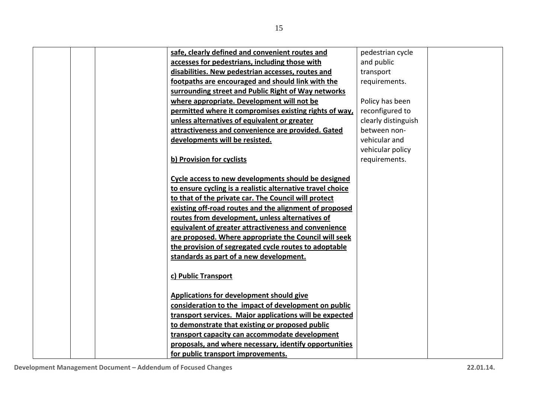|  | safe, clearly defined and convenient routes and            | pedestrian cycle    |
|--|------------------------------------------------------------|---------------------|
|  | accesses for pedestrians, including those with             | and public          |
|  | disabilities. New pedestrian accesses, routes and          | transport           |
|  | footpaths are encouraged and should link with the          | requirements.       |
|  | surrounding street and Public Right of Way networks        |                     |
|  | where appropriate. Development will not be                 | Policy has been     |
|  | permitted where it compromises existing rights of way,     | reconfigured to     |
|  | unless alternatives of equivalent or greater               | clearly distinguish |
|  | attractiveness and convenience are provided. Gated         | between non-        |
|  | developments will be resisted.                             | vehicular and       |
|  |                                                            | vehicular policy    |
|  | b) Provision for cyclists                                  | requirements.       |
|  |                                                            |                     |
|  | Cycle access to new developments should be designed        |                     |
|  | to ensure cycling is a realistic alternative travel choice |                     |
|  | to that of the private car. The Council will protect       |                     |
|  | existing off-road routes and the alignment of proposed     |                     |
|  | routes from development, unless alternatives of            |                     |
|  | equivalent of greater attractiveness and convenience       |                     |
|  | are proposed. Where appropriate the Council will seek      |                     |
|  | the provision of segregated cycle routes to adoptable      |                     |
|  | standards as part of a new development.                    |                     |
|  |                                                            |                     |
|  | c) Public Transport                                        |                     |
|  |                                                            |                     |
|  | Applications for development should give                   |                     |
|  | consideration to the impact of development on public       |                     |
|  | transport services. Major applications will be expected    |                     |
|  | to demonstrate that existing or proposed public            |                     |
|  | transport capacity can accommodate development             |                     |
|  | proposals, and where necessary, identify opportunities     |                     |
|  | for public transport improvements.                         |                     |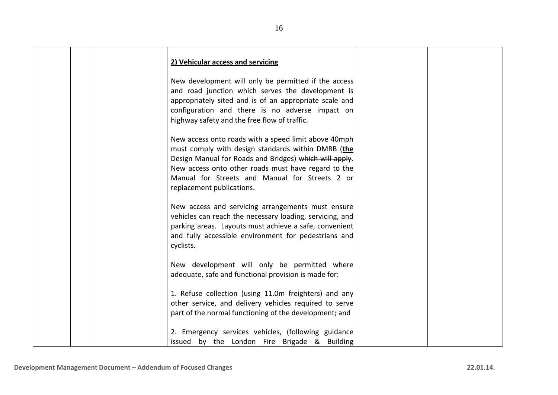|  | 2) Vehicular access and servicing                                                                                |  |
|--|------------------------------------------------------------------------------------------------------------------|--|
|  | New development will only be permitted if the access<br>and road junction which serves the development is        |  |
|  | appropriately sited and is of an appropriate scale and                                                           |  |
|  | configuration and there is no adverse impact on                                                                  |  |
|  | highway safety and the free flow of traffic.                                                                     |  |
|  | New access onto roads with a speed limit above 40mph                                                             |  |
|  | must comply with design standards within DMRB (the                                                               |  |
|  | Design Manual for Roads and Bridges) which will apply.                                                           |  |
|  | New access onto other roads must have regard to the                                                              |  |
|  | Manual for Streets and Manual for Streets 2 or                                                                   |  |
|  | replacement publications.                                                                                        |  |
|  | New access and servicing arrangements must ensure                                                                |  |
|  | vehicles can reach the necessary loading, servicing, and                                                         |  |
|  | parking areas. Layouts must achieve a safe, convenient                                                           |  |
|  | and fully accessible environment for pedestrians and                                                             |  |
|  | cyclists.                                                                                                        |  |
|  | New development will only be permitted where                                                                     |  |
|  | adequate, safe and functional provision is made for:                                                             |  |
|  |                                                                                                                  |  |
|  | 1. Refuse collection (using 11.0m freighters) and any                                                            |  |
|  | other service, and delivery vehicles required to serve<br>part of the normal functioning of the development; and |  |
|  |                                                                                                                  |  |
|  | 2. Emergency services vehicles, (following guidance                                                              |  |
|  | issued by the London Fire Brigade & Building                                                                     |  |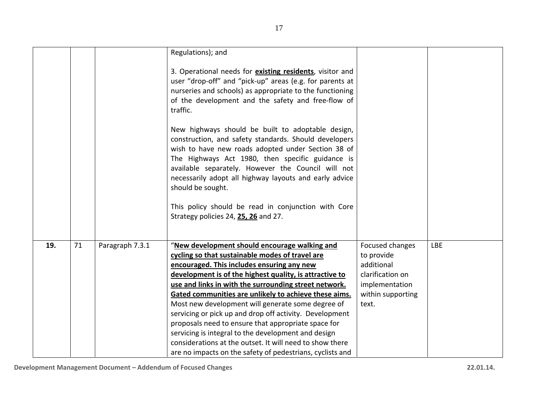|     |    |                 | Regulations); and                                                                                                                                                                                                                                                                                                                                                                                                                                                                                                                                                                                                     |                                                                                                                 |            |
|-----|----|-----------------|-----------------------------------------------------------------------------------------------------------------------------------------------------------------------------------------------------------------------------------------------------------------------------------------------------------------------------------------------------------------------------------------------------------------------------------------------------------------------------------------------------------------------------------------------------------------------------------------------------------------------|-----------------------------------------------------------------------------------------------------------------|------------|
|     |    |                 | 3. Operational needs for existing residents, visitor and<br>user "drop-off" and "pick-up" areas (e.g. for parents at<br>nurseries and schools) as appropriate to the functioning<br>of the development and the safety and free-flow of<br>traffic.                                                                                                                                                                                                                                                                                                                                                                    |                                                                                                                 |            |
|     |    |                 | New highways should be built to adoptable design,<br>construction, and safety standards. Should developers<br>wish to have new roads adopted under Section 38 of<br>The Highways Act 1980, then specific guidance is<br>available separately. However the Council will not<br>necessarily adopt all highway layouts and early advice<br>should be sought.                                                                                                                                                                                                                                                             |                                                                                                                 |            |
|     |    |                 | This policy should be read in conjunction with Core<br>Strategy policies 24, 25, 26 and 27.                                                                                                                                                                                                                                                                                                                                                                                                                                                                                                                           |                                                                                                                 |            |
| 19. | 71 | Paragraph 7.3.1 | "New development should encourage walking and<br>cycling so that sustainable modes of travel are<br>encouraged. This includes ensuring any new<br>development is of the highest quality, is attractive to<br>use and links in with the surrounding street network.<br>Gated communities are unlikely to achieve these aims.<br>Most new development will generate some degree of<br>servicing or pick up and drop off activity. Development<br>proposals need to ensure that appropriate space for<br>servicing is integral to the development and design<br>considerations at the outset. It will need to show there | Focused changes<br>to provide<br>additional<br>clarification on<br>implementation<br>within supporting<br>text. | <b>LBE</b> |
|     |    |                 | are no impacts on the safety of pedestrians, cyclists and                                                                                                                                                                                                                                                                                                                                                                                                                                                                                                                                                             |                                                                                                                 |            |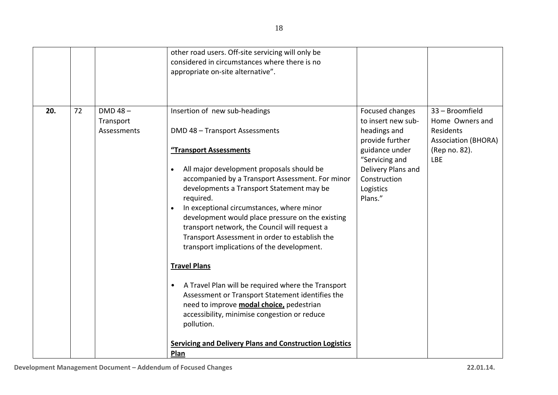| other road users. Off-site servicing will only be<br>considered in circumstances where there is no<br>appropriate on-site alternative".                                                                                                                                                                                                                                                                                                                                                                                                                                                                                                                                                                                                                                                                                                                                                                                              |                                                                                                                                                                                                                                                                                 |
|--------------------------------------------------------------------------------------------------------------------------------------------------------------------------------------------------------------------------------------------------------------------------------------------------------------------------------------------------------------------------------------------------------------------------------------------------------------------------------------------------------------------------------------------------------------------------------------------------------------------------------------------------------------------------------------------------------------------------------------------------------------------------------------------------------------------------------------------------------------------------------------------------------------------------------------|---------------------------------------------------------------------------------------------------------------------------------------------------------------------------------------------------------------------------------------------------------------------------------|
| $DMD 48 -$<br>Insertion of new sub-headings<br>20.<br>72<br>Transport<br>DMD 48 - Transport Assessments<br>Assessments<br>"Transport Assessments<br>All major development proposals should be<br>$\bullet$<br>accompanied by a Transport Assessment. For minor<br>developments a Transport Statement may be<br>Plans."<br>required.<br>In exceptional circumstances, where minor<br>$\bullet$<br>development would place pressure on the existing<br>transport network, the Council will request a<br>Transport Assessment in order to establish the<br>transport implications of the development.<br><b>Travel Plans</b><br>A Travel Plan will be required where the Transport<br>$\bullet$<br>Assessment or Transport Statement identifies the<br>need to improve modal choice, pedestrian<br>accessibility, minimise congestion or reduce<br>pollution.<br><b>Servicing and Delivery Plans and Construction Logistics</b><br>Plan | Focused changes<br>33 - Broomfield<br>to insert new sub-<br>Home Owners and<br>headings and<br>Residents<br>provide further<br><b>Association (BHORA)</b><br>guidance under<br>(Rep no. 82).<br>"Servicing and<br><b>LBE</b><br>Delivery Plans and<br>Construction<br>Logistics |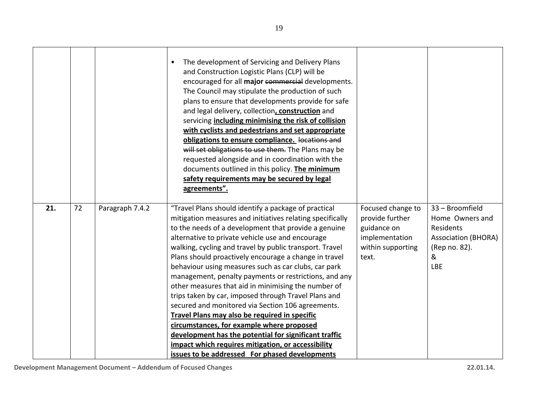|     |    |                 | The development of Servicing and Delivery Plans<br>$\bullet$<br>and Construction Logistic Plans (CLP) will be<br>encouraged for all major commercial developments.<br>The Council may stipulate the production of such<br>plans to ensure that developments provide for safe<br>and legal delivery, collection, construction and<br>servicing including minimising the risk of collision<br>with cyclists and pedestrians and set appropriate<br>obligations to ensure compliance. locations and<br>will set obligations to use them. The Plans may be<br>requested alongside and in coordination with the<br>documents outlined in this policy. The minimum<br>safety requirements may be secured by legal<br>agreements". |                                                     |                                                 |
|-----|----|-----------------|-----------------------------------------------------------------------------------------------------------------------------------------------------------------------------------------------------------------------------------------------------------------------------------------------------------------------------------------------------------------------------------------------------------------------------------------------------------------------------------------------------------------------------------------------------------------------------------------------------------------------------------------------------------------------------------------------------------------------------|-----------------------------------------------------|-------------------------------------------------|
| 21. | 72 | Paragraph 7.4.2 | "Travel Plans should identify a package of practical<br>mitigation measures and initiatives relating specifically<br>to the needs of a development that provide a genuine                                                                                                                                                                                                                                                                                                                                                                                                                                                                                                                                                   | Focused change to<br>provide further<br>guidance on | 33 - Broomfield<br>Home Owners and<br>Residents |
|     |    |                 | alternative to private vehicle use and encourage                                                                                                                                                                                                                                                                                                                                                                                                                                                                                                                                                                                                                                                                            | implementation                                      | <b>Association (BHORA)</b>                      |
|     |    |                 | walking, cycling and travel by public transport. Travel                                                                                                                                                                                                                                                                                                                                                                                                                                                                                                                                                                                                                                                                     | within supporting                                   | (Rep no. 82).                                   |
|     |    |                 | Plans should proactively encourage a change in travel                                                                                                                                                                                                                                                                                                                                                                                                                                                                                                                                                                                                                                                                       | text.                                               | &                                               |
|     |    |                 | behaviour using measures such as car clubs, car park                                                                                                                                                                                                                                                                                                                                                                                                                                                                                                                                                                                                                                                                        |                                                     | <b>LBE</b>                                      |
|     |    |                 | management, penalty payments or restrictions, and any<br>other measures that aid in minimising the number of                                                                                                                                                                                                                                                                                                                                                                                                                                                                                                                                                                                                                |                                                     |                                                 |
|     |    |                 | trips taken by car, imposed through Travel Plans and                                                                                                                                                                                                                                                                                                                                                                                                                                                                                                                                                                                                                                                                        |                                                     |                                                 |
|     |    |                 | secured and monitored via Section 106 agreements.                                                                                                                                                                                                                                                                                                                                                                                                                                                                                                                                                                                                                                                                           |                                                     |                                                 |
|     |    |                 | Travel Plans may also be required in specific                                                                                                                                                                                                                                                                                                                                                                                                                                                                                                                                                                                                                                                                               |                                                     |                                                 |
|     |    |                 | circumstances, for example where proposed                                                                                                                                                                                                                                                                                                                                                                                                                                                                                                                                                                                                                                                                                   |                                                     |                                                 |
|     |    |                 | development has the potential for significant traffic                                                                                                                                                                                                                                                                                                                                                                                                                                                                                                                                                                                                                                                                       |                                                     |                                                 |
|     |    |                 | impact which requires mitigation, or accessibility                                                                                                                                                                                                                                                                                                                                                                                                                                                                                                                                                                                                                                                                          |                                                     |                                                 |
|     |    |                 | issues to be addressed For phased developments                                                                                                                                                                                                                                                                                                                                                                                                                                                                                                                                                                                                                                                                              |                                                     |                                                 |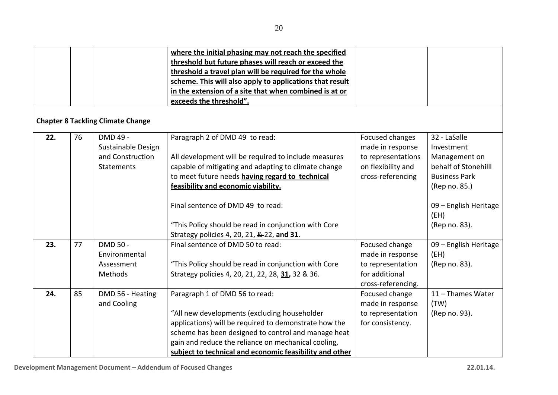|     |    |                                          | where the initial phasing may not reach the specified    |                    |                               |
|-----|----|------------------------------------------|----------------------------------------------------------|--------------------|-------------------------------|
|     |    |                                          | threshold but future phases will reach or exceed the     |                    |                               |
|     |    |                                          | threshold a travel plan will be required for the whole   |                    |                               |
|     |    |                                          | scheme. This will also apply to applications that result |                    |                               |
|     |    |                                          | in the extension of a site that when combined is at or   |                    |                               |
|     |    |                                          | exceeds the threshold".                                  |                    |                               |
|     |    | <b>Chapter 8 Tackling Climate Change</b> |                                                          |                    |                               |
| 22. | 76 | DMD 49 -                                 | Paragraph 2 of DMD 49 to read:                           | Focused changes    | 32 - LaSalle                  |
|     |    | Sustainable Design                       |                                                          | made in response   | Investment                    |
|     |    | and Construction                         | All development will be required to include measures     | to representations | Management on                 |
|     |    | Statements                               | capable of mitigating and adapting to climate change     | on flexibility and | behalf of Stonehilll          |
|     |    |                                          | to meet future needs having regard to technical          | cross-referencing  | <b>Business Park</b>          |
|     |    |                                          | feasibility and economic viability.                      |                    | (Rep no. 85.)                 |
|     |    |                                          | Final sentence of DMD 49 to read:                        |                    | 09 - English Heritage<br>(EH) |
|     |    |                                          | "This Policy should be read in conjunction with Core     |                    | (Rep no. 83).                 |
|     |    |                                          | Strategy policies 4, 20, 21, &-22, and 31.               |                    |                               |
| 23. | 77 | <b>DMD 50 -</b>                          | Final sentence of DMD 50 to read:                        | Focused change     | 09 - English Heritage         |
|     |    | Environmental                            |                                                          | made in response   | (EH)                          |
|     |    | Assessment                               | "This Policy should be read in conjunction with Core     | to representation  | (Rep no. 83).                 |
|     |    | Methods                                  | Strategy policies 4, 20, 21, 22, 28, 31, 32 & 36.        | for additional     |                               |
|     |    |                                          |                                                          | cross-referencing. |                               |
| 24. | 85 | DMD 56 - Heating                         | Paragraph 1 of DMD 56 to read:                           | Focused change     | 11 - Thames Water             |
|     |    | and Cooling                              |                                                          | made in response   | (TW)                          |
|     |    |                                          | "All new developments (excluding householder             | to representation  | (Rep no. 93).                 |
|     |    |                                          | applications) will be required to demonstrate how the    | for consistency.   |                               |
|     |    |                                          | scheme has been designed to control and manage heat      |                    |                               |
|     |    |                                          | gain and reduce the reliance on mechanical cooling,      |                    |                               |
|     |    |                                          | subject to technical and economic feasibility and other  |                    |                               |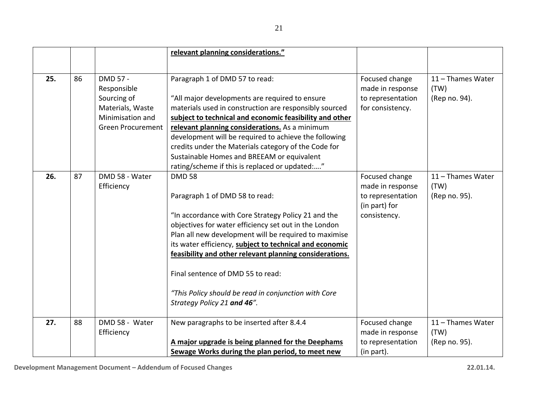|     |    |                          | relevant planning considerations."                      |                                    |                           |
|-----|----|--------------------------|---------------------------------------------------------|------------------------------------|---------------------------|
|     |    |                          |                                                         |                                    |                           |
| 25. | 86 | DMD 57 -<br>Responsible  | Paragraph 1 of DMD 57 to read:                          | Focused change<br>made in response | 11 - Thames Water<br>(TW) |
|     |    | Sourcing of              | "All major developments are required to ensure          | to representation                  | (Rep no. 94).             |
|     |    | Materials, Waste         | materials used in construction are responsibly sourced  | for consistency.                   |                           |
|     |    | Minimisation and         | subject to technical and economic feasibility and other |                                    |                           |
|     |    | <b>Green Procurement</b> | relevant planning considerations. As a minimum          |                                    |                           |
|     |    |                          | development will be required to achieve the following   |                                    |                           |
|     |    |                          | credits under the Materials category of the Code for    |                                    |                           |
|     |    |                          | Sustainable Homes and BREEAM or equivalent              |                                    |                           |
|     |    |                          | rating/scheme if this is replaced or updated:"          |                                    |                           |
| 26. | 87 | DMD 58 - Water           | <b>DMD 58</b>                                           | Focused change                     | 11 - Thames Water         |
|     |    | Efficiency               |                                                         | made in response                   | (TW)                      |
|     |    |                          | Paragraph 1 of DMD 58 to read:                          | to representation                  | (Rep no. 95).             |
|     |    |                          |                                                         | (in part) for                      |                           |
|     |    |                          | "In accordance with Core Strategy Policy 21 and the     | consistency.                       |                           |
|     |    |                          | objectives for water efficiency set out in the London   |                                    |                           |
|     |    |                          | Plan all new development will be required to maximise   |                                    |                           |
|     |    |                          | its water efficiency, subject to technical and economic |                                    |                           |
|     |    |                          | feasibility and other relevant planning considerations. |                                    |                           |
|     |    |                          | Final sentence of DMD 55 to read:                       |                                    |                           |
|     |    |                          | "This Policy should be read in conjunction with Core    |                                    |                           |
|     |    |                          | Strategy Policy 21 and 46".                             |                                    |                           |
|     |    |                          |                                                         |                                    |                           |
| 27. | 88 | DMD 58 - Water           | New paragraphs to be inserted after 8.4.4               | Focused change                     | 11 - Thames Water         |
|     |    | Efficiency               |                                                         | made in response                   | (TW)                      |
|     |    |                          | A major upgrade is being planned for the Deephams       | to representation                  | (Rep no. 95).             |
|     |    |                          | Sewage Works during the plan period, to meet new        | (in part).                         |                           |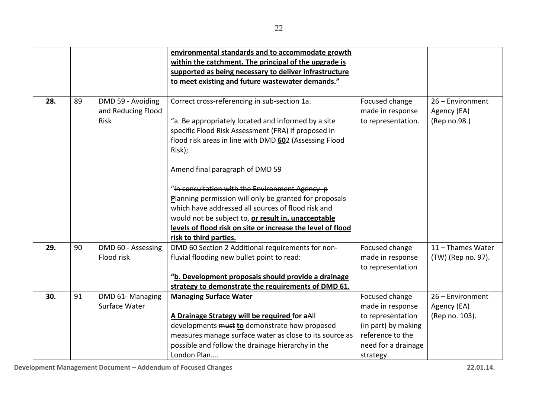|     |    |                                                        | environmental standards and to accommodate growth                                                   |                                                          |                                                 |
|-----|----|--------------------------------------------------------|-----------------------------------------------------------------------------------------------------|----------------------------------------------------------|-------------------------------------------------|
|     |    |                                                        | within the catchment. The principal of the upgrade is                                               |                                                          |                                                 |
|     |    |                                                        | supported as being necessary to deliver infrastructure                                              |                                                          |                                                 |
|     |    |                                                        | to meet existing and future wastewater demands."                                                    |                                                          |                                                 |
|     |    |                                                        |                                                                                                     |                                                          |                                                 |
| 28. | 89 | DMD 59 - Avoiding<br>and Reducing Flood<br><b>Risk</b> | Correct cross-referencing in sub-section 1a.<br>"a. Be appropriately located and informed by a site | Focused change<br>made in response<br>to representation. | 26 - Environment<br>Agency (EA)<br>(Rep no.98.) |
|     |    |                                                        | specific Flood Risk Assessment (FRA) if proposed in                                                 |                                                          |                                                 |
|     |    |                                                        | flood risk areas in line with DMD 602 (Assessing Flood                                              |                                                          |                                                 |
|     |    |                                                        | Risk);                                                                                              |                                                          |                                                 |
|     |    |                                                        | Amend final paragraph of DMD 59                                                                     |                                                          |                                                 |
|     |    |                                                        | "In consultation with the Environment Agency p                                                      |                                                          |                                                 |
|     |    |                                                        | Planning permission will only be granted for proposals                                              |                                                          |                                                 |
|     |    |                                                        | which have addressed all sources of flood risk and                                                  |                                                          |                                                 |
|     |    |                                                        | would not be subject to, or result in, unacceptable                                                 |                                                          |                                                 |
|     |    |                                                        | levels of flood risk on site or increase the level of flood                                         |                                                          |                                                 |
|     |    |                                                        | risk to third parties.                                                                              |                                                          |                                                 |
| 29. | 90 | DMD 60 - Assessing                                     | DMD 60 Section 2 Additional requirements for non-                                                   | Focused change                                           | 11 - Thames Water                               |
|     |    | Flood risk                                             | fluvial flooding new bullet point to read:                                                          | made in response                                         | (TW) (Rep no. 97).                              |
|     |    |                                                        |                                                                                                     | to representation                                        |                                                 |
|     |    |                                                        | "b. Development proposals should provide a drainage                                                 |                                                          |                                                 |
|     |    |                                                        | strategy to demonstrate the requirements of DMD 61.                                                 |                                                          |                                                 |
| 30. | 91 | DMD 61-Managing                                        | <b>Managing Surface Water</b>                                                                       | Focused change                                           | 26 - Environment                                |
|     |    | Surface Water                                          |                                                                                                     | made in response                                         | Agency (EA)                                     |
|     |    |                                                        | A Drainage Strategy will be required for aAll                                                       | to representation                                        | (Rep no. 103).                                  |
|     |    |                                                        | developments must to demonstrate how proposed                                                       | (in part) by making                                      |                                                 |
|     |    |                                                        | measures manage surface water as close to its source as                                             | reference to the                                         |                                                 |
|     |    |                                                        | possible and follow the drainage hierarchy in the                                                   | need for a drainage                                      |                                                 |
|     |    |                                                        | London Plan                                                                                         | strategy.                                                |                                                 |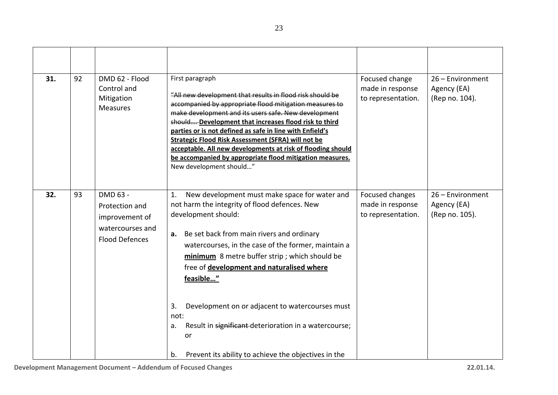| 31. | 92 | DMD 62 - Flood<br>Control and<br>Mitigation<br><b>Measures</b>                            | First paragraph<br>"All new development that results in flood risk should be<br>accompanied by appropriate flood mitigation measures to<br>make development and its users safe. New development<br>should Development that increases flood risk to third<br>parties or is not defined as safe in line with Enfield's<br><b>Strategic Flood Risk Assessment (SFRA) will not be</b><br>acceptable. All new developments at risk of flooding should<br>be accompanied by appropriate flood mitigation measures.<br>New development should"              | Focused change<br>made in response<br>to representation.  | 26 - Environment<br>Agency (EA)<br>(Rep no. 104). |
|-----|----|-------------------------------------------------------------------------------------------|------------------------------------------------------------------------------------------------------------------------------------------------------------------------------------------------------------------------------------------------------------------------------------------------------------------------------------------------------------------------------------------------------------------------------------------------------------------------------------------------------------------------------------------------------|-----------------------------------------------------------|---------------------------------------------------|
| 32. | 93 | DMD 63 -<br>Protection and<br>improvement of<br>watercourses and<br><b>Flood Defences</b> | New development must make space for water and<br>1.<br>not harm the integrity of flood defences. New<br>development should:<br>Be set back from main rivers and ordinary<br>а.<br>watercourses, in the case of the former, maintain a<br>minimum 8 metre buffer strip; which should be<br>free of development and naturalised where<br>feasible"<br>3.<br>Development on or adjacent to watercourses must<br>not:<br>Result in significant deterioration in a watercourse;<br>a.<br>or<br>Prevent its ability to achieve the objectives in the<br>b. | Focused changes<br>made in response<br>to representation. | 26 - Environment<br>Agency (EA)<br>(Rep no. 105). |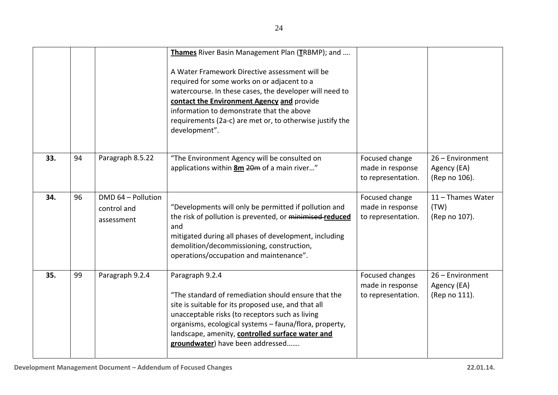|     |    |                                                 | Thames River Basin Management Plan (TRBMP); and                                                                                                                                                                                                                                                                                    |                                                           |                                                  |
|-----|----|-------------------------------------------------|------------------------------------------------------------------------------------------------------------------------------------------------------------------------------------------------------------------------------------------------------------------------------------------------------------------------------------|-----------------------------------------------------------|--------------------------------------------------|
|     |    |                                                 | A Water Framework Directive assessment will be<br>required for some works on or adjacent to a<br>watercourse. In these cases, the developer will need to<br>contact the Environment Agency and provide<br>information to demonstrate that the above<br>requirements (2a-c) are met or, to otherwise justify the<br>development".   |                                                           |                                                  |
| 33. | 94 | Paragraph 8.5.22                                | "The Environment Agency will be consulted on<br>applications within 8m 20m of a main river"                                                                                                                                                                                                                                        | Focused change<br>made in response<br>to representation.  | 26 - Environment<br>Agency (EA)<br>(Rep no 106). |
| 34. | 96 | DMD 64 - Pollution<br>control and<br>assessment | "Developments will only be permitted if pollution and<br>the risk of pollution is prevented, or minimised-reduced<br>and<br>mitigated during all phases of development, including<br>demolition/decommissioning, construction,<br>operations/occupation and maintenance".                                                          | Focused change<br>made in response<br>to representation.  | 11 - Thames Water<br>(TW)<br>(Rep no 107).       |
| 35. | 99 | Paragraph 9.2.4                                 | Paragraph 9.2.4<br>"The standard of remediation should ensure that the<br>site is suitable for its proposed use, and that all<br>unacceptable risks (to receptors such as living<br>organisms, ecological systems - fauna/flora, property,<br>landscape, amenity, controlled surface water and<br>groundwater) have been addressed | Focused changes<br>made in response<br>to representation. | 26 - Environment<br>Agency (EA)<br>(Rep no 111). |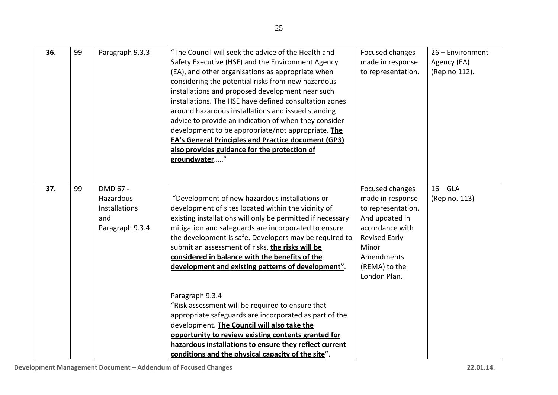| 36. | 99 | Paragraph 9.3.3                                                         | "The Council will seek the advice of the Health and<br>Safety Executive (HSE) and the Environment Agency<br>(EA), and other organisations as appropriate when<br>considering the potential risks from new hazardous<br>installations and proposed development near such<br>installations. The HSE have defined consultation zones<br>around hazardous installations and issued standing<br>advice to provide an indication of when they consider<br>development to be appropriate/not appropriate. The<br><b>EA's General Principles and Practice document (GP3)</b><br>also provides guidance for the protection of<br>groundwater" | Focused changes<br>made in response<br>to representation.                                                                                                                             | 26 - Environment<br>Agency (EA)<br>(Rep no 112). |
|-----|----|-------------------------------------------------------------------------|--------------------------------------------------------------------------------------------------------------------------------------------------------------------------------------------------------------------------------------------------------------------------------------------------------------------------------------------------------------------------------------------------------------------------------------------------------------------------------------------------------------------------------------------------------------------------------------------------------------------------------------|---------------------------------------------------------------------------------------------------------------------------------------------------------------------------------------|--------------------------------------------------|
| 37. | 99 | DMD 67 -<br>Hazardous<br><b>Installations</b><br>and<br>Paragraph 9.3.4 | "Development of new hazardous installations or<br>development of sites located within the vicinity of<br>existing installations will only be permitted if necessary<br>mitigation and safeguards are incorporated to ensure<br>the development is safe. Developers may be required to<br>submit an assessment of risks, the risks will be<br>considered in balance with the benefits of the<br>development and existing patterns of development".                                                                                                                                                                                    | Focused changes<br>made in response<br>to representation.<br>And updated in<br>accordance with<br><b>Revised Early</b><br>Minor<br><b>Amendments</b><br>(REMA) to the<br>London Plan. | $16 - GLA$<br>(Rep no. 113)                      |
|     |    |                                                                         | Paragraph 9.3.4<br>"Risk assessment will be required to ensure that<br>appropriate safeguards are incorporated as part of the<br>development. The Council will also take the<br>opportunity to review existing contents granted for<br>hazardous installations to ensure they reflect current<br>conditions and the physical capacity of the site".                                                                                                                                                                                                                                                                                  |                                                                                                                                                                                       |                                                  |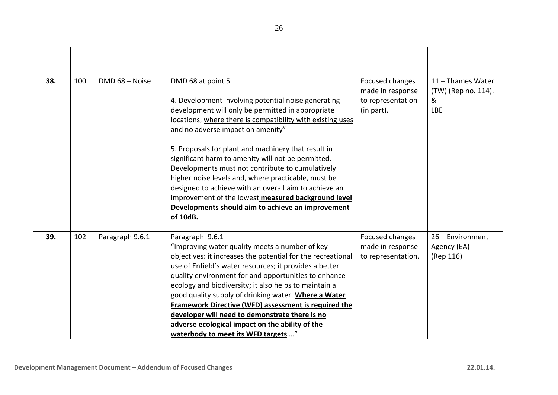| 38. | 100 | DMD 68 - Noise  | DMD 68 at point 5<br>4. Development involving potential noise generating<br>development will only be permitted in appropriate<br>locations, where there is compatibility with existing uses<br>and no adverse impact on amenity"<br>5. Proposals for plant and machinery that result in<br>significant harm to amenity will not be permitted.<br>Developments must not contribute to cumulatively<br>higher noise levels and, where practicable, must be<br>designed to achieve with an overall aim to achieve an<br>improvement of the lowest measured background level<br>Developments should aim to achieve an improvement<br>of 10dB. | Focused changes<br>made in response<br>to representation<br>(in part). | 11 - Thames Water<br>(TW) (Rep no. 114).<br>&<br><b>LBE</b> |
|-----|-----|-----------------|-------------------------------------------------------------------------------------------------------------------------------------------------------------------------------------------------------------------------------------------------------------------------------------------------------------------------------------------------------------------------------------------------------------------------------------------------------------------------------------------------------------------------------------------------------------------------------------------------------------------------------------------|------------------------------------------------------------------------|-------------------------------------------------------------|
| 39. | 102 | Paragraph 9.6.1 | Paragraph 9.6.1<br>"Improving water quality meets a number of key<br>objectives: it increases the potential for the recreational<br>use of Enfield's water resources; it provides a better<br>quality environment for and opportunities to enhance<br>ecology and biodiversity; it also helps to maintain a<br>good quality supply of drinking water. Where a Water<br>Framework Directive (WFD) assessment is required the<br>developer will need to demonstrate there is no<br>adverse ecological impact on the ability of the<br>waterbody to meet its WFD targets"                                                                    | Focused changes<br>made in response<br>to representation.              | 26 - Environment<br>Agency (EA)<br>(Rep 116)                |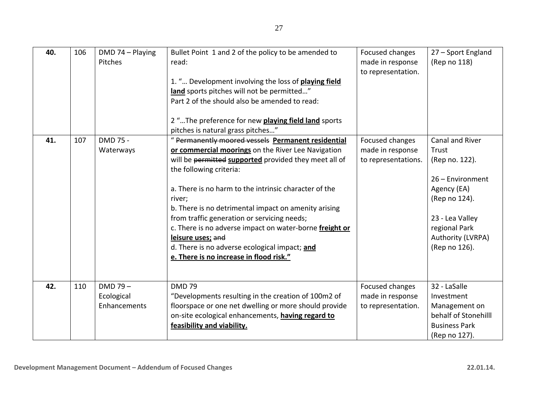| 40. | 106 | DMD 74 - Playing<br>Pitches              | Bullet Point 1 and 2 of the policy to be amended to<br>read:<br>1. " Development involving the loss of playing field<br>land sports pitches will not be permitted"<br>Part 2 of the should also be amended to read:<br>2 " The preference for new playing field land sports<br>pitches is natural grass pitches"                                                                                                                                                                                                                                   | Focused changes<br>made in response<br>to representation.  | 27 - Sport England<br>(Rep no 118)                                                                                                                                       |
|-----|-----|------------------------------------------|----------------------------------------------------------------------------------------------------------------------------------------------------------------------------------------------------------------------------------------------------------------------------------------------------------------------------------------------------------------------------------------------------------------------------------------------------------------------------------------------------------------------------------------------------|------------------------------------------------------------|--------------------------------------------------------------------------------------------------------------------------------------------------------------------------|
| 41. | 107 | DMD 75 -<br>Waterways                    | " Permanently moored vessels Permanent residential<br>or commercial moorings on the River Lee Navigation<br>will be permitted supported provided they meet all of<br>the following criteria:<br>a. There is no harm to the intrinsic character of the<br>river;<br>b. There is no detrimental impact on amenity arising<br>from traffic generation or servicing needs;<br>c. There is no adverse impact on water-borne freight or<br>leisure uses; and<br>d. There is no adverse ecological impact; and<br>e. There is no increase in flood risk." | Focused changes<br>made in response<br>to representations. | Canal and River<br>Trust<br>(Rep no. 122).<br>26 - Environment<br>Agency (EA)<br>(Rep no 124).<br>23 - Lea Valley<br>regional Park<br>Authority (LVRPA)<br>(Rep no 126). |
| 42. | 110 | $DMD 79 -$<br>Ecological<br>Enhancements | <b>DMD 79</b><br>"Developments resulting in the creation of 100m2 of<br>floorspace or one net dwelling or more should provide<br>on-site ecological enhancements, having regard to<br>feasibility and viability.                                                                                                                                                                                                                                                                                                                                   | Focused changes<br>made in response<br>to representation.  | 32 - LaSalle<br>Investment<br>Management on<br>behalf of Stonehilll<br><b>Business Park</b><br>(Rep no 127).                                                             |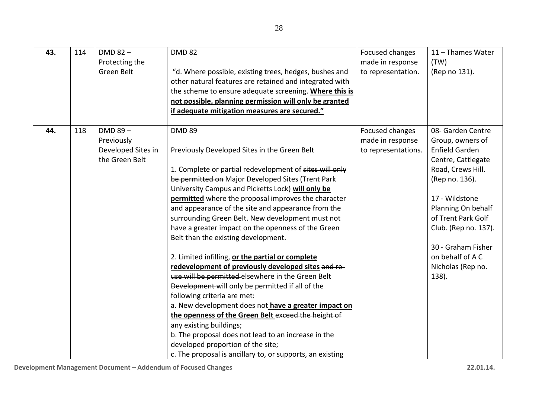| 43. | 114 | $DMD 82 -$         | <b>DMD 82</b>                                             | Focused changes     | 11 - Thames Water     |
|-----|-----|--------------------|-----------------------------------------------------------|---------------------|-----------------------|
|     |     | Protecting the     |                                                           | made in response    | (TW)                  |
|     |     | Green Belt         | "d. Where possible, existing trees, hedges, bushes and    | to representation.  | (Rep no 131).         |
|     |     |                    | other natural features are retained and integrated with   |                     |                       |
|     |     |                    | the scheme to ensure adequate screening. Where this is    |                     |                       |
|     |     |                    | not possible, planning permission will only be granted    |                     |                       |
|     |     |                    | if adequate mitigation measures are secured."             |                     |                       |
| 44. | 118 | $DMD 89 -$         | <b>DMD 89</b>                                             | Focused changes     | 08- Garden Centre     |
|     |     | Previously         |                                                           | made in response    | Group, owners of      |
|     |     | Developed Sites in | Previously Developed Sites in the Green Belt              | to representations. | <b>Enfield Garden</b> |
|     |     | the Green Belt     |                                                           |                     | Centre, Cattlegate    |
|     |     |                    | 1. Complete or partial redevelopment of sites will only   |                     | Road, Crews Hill.     |
|     |     |                    | be permitted on Major Developed Sites (Trent Park         |                     | (Rep no. 136).        |
|     |     |                    | University Campus and Picketts Lock) will only be         |                     |                       |
|     |     |                    | permitted where the proposal improves the character       |                     | 17 - Wildstone        |
|     |     |                    | and appearance of the site and appearance from the        |                     | Planning On behalf    |
|     |     |                    | surrounding Green Belt. New development must not          |                     | of Trent Park Golf    |
|     |     |                    | have a greater impact on the openness of the Green        |                     | Club. (Rep no. 137).  |
|     |     |                    | Belt than the existing development.                       |                     |                       |
|     |     |                    |                                                           |                     | 30 - Graham Fisher    |
|     |     |                    | 2. Limited infilling, or the partial or complete          |                     | on behalf of A C      |
|     |     |                    | redevelopment of previously developed sites and re-       |                     | Nicholas (Rep no.     |
|     |     |                    | use will be permitted-elsewhere in the Green Belt         |                     | 138).                 |
|     |     |                    | Development-will only be permitted if all of the          |                     |                       |
|     |     |                    | following criteria are met:                               |                     |                       |
|     |     |                    | a. New development does not have a greater impact on      |                     |                       |
|     |     |                    | the openness of the Green Belt exceed the height of       |                     |                       |
|     |     |                    | any existing buildings;                                   |                     |                       |
|     |     |                    | b. The proposal does not lead to an increase in the       |                     |                       |
|     |     |                    | developed proportion of the site;                         |                     |                       |
|     |     |                    | c. The proposal is ancillary to, or supports, an existing |                     |                       |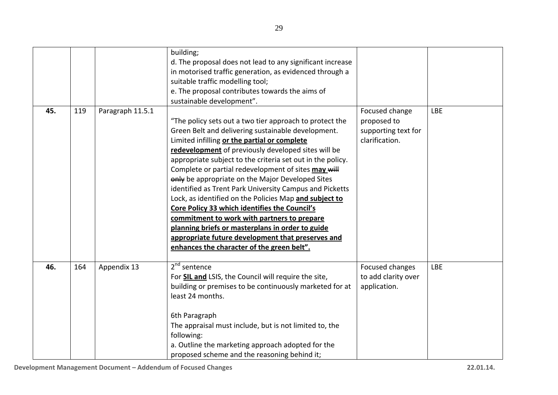|     |     |                  | building;<br>d. The proposal does not lead to any significant increase<br>in motorised traffic generation, as evidenced through a<br>suitable traffic modelling tool;<br>e. The proposal contributes towards the aims of<br>sustainable development".                                                                                                                                                                                                                                                                                                                                                                                                                                                                                                                     |                                                                        |            |
|-----|-----|------------------|---------------------------------------------------------------------------------------------------------------------------------------------------------------------------------------------------------------------------------------------------------------------------------------------------------------------------------------------------------------------------------------------------------------------------------------------------------------------------------------------------------------------------------------------------------------------------------------------------------------------------------------------------------------------------------------------------------------------------------------------------------------------------|------------------------------------------------------------------------|------------|
| 45. | 119 | Paragraph 11.5.1 | "The policy sets out a two tier approach to protect the<br>Green Belt and delivering sustainable development.<br>Limited infilling or the partial or complete<br>redevelopment of previously developed sites will be<br>appropriate subject to the criteria set out in the policy.<br>Complete or partial redevelopment of sites may will<br>only be appropriate on the Major Developed Sites<br>identified as Trent Park University Campus and Picketts<br>Lock, as identified on the Policies Map and subject to<br>Core Policy 33 which identifies the Council's<br>commitment to work with partners to prepare<br>planning briefs or masterplans in order to guide<br>appropriate future development that preserves and<br>enhances the character of the green belt". | Focused change<br>proposed to<br>supporting text for<br>clarification. | <b>LBE</b> |
| 46. | 164 | Appendix 13      | $2nd$ sentence<br>For <b>SIL and</b> LSIS, the Council will require the site,<br>building or premises to be continuously marketed for at<br>least 24 months.<br>6th Paragraph<br>The appraisal must include, but is not limited to, the<br>following:<br>a. Outline the marketing approach adopted for the<br>proposed scheme and the reasoning behind it;                                                                                                                                                                                                                                                                                                                                                                                                                | Focused changes<br>to add clarity over<br>application.                 | <b>LBE</b> |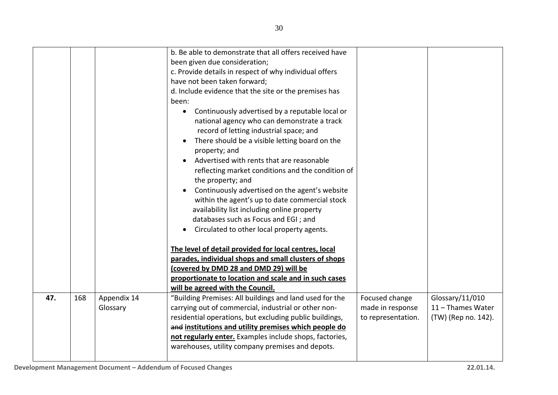|            |                         | b. Be able to demonstrate that all offers received have<br>been given due consideration;<br>c. Provide details in respect of why individual offers<br>have not been taken forward;<br>d. Include evidence that the site or the premises has<br>been:<br>Continuously advertised by a reputable local or<br>$\bullet$<br>national agency who can demonstrate a track<br>record of letting industrial space; and<br>There should be a visible letting board on the<br>property; and<br>Advertised with rents that are reasonable<br>$\bullet$<br>reflecting market conditions and the condition of<br>the property; and<br>Continuously advertised on the agent's website<br>within the agent's up to date commercial stock<br>availability list including online property |                                                          |                                                             |
|------------|-------------------------|--------------------------------------------------------------------------------------------------------------------------------------------------------------------------------------------------------------------------------------------------------------------------------------------------------------------------------------------------------------------------------------------------------------------------------------------------------------------------------------------------------------------------------------------------------------------------------------------------------------------------------------------------------------------------------------------------------------------------------------------------------------------------|----------------------------------------------------------|-------------------------------------------------------------|
| 47.<br>168 | Appendix 14<br>Glossary | databases such as Focus and EGI; and<br>Circulated to other local property agents.<br>The level of detail provided for local centres, local<br>parades, individual shops and small clusters of shops<br>(covered by DMD 28 and DMD 29) will be<br>proportionate to location and scale and in such cases<br>will be agreed with the Council.<br>"Building Premises: All buildings and land used for the<br>carrying out of commercial, industrial or other non-<br>residential operations, but excluding public buildings,<br>and institutions and utility premises which people do<br>not regularly enter. Examples include shops, factories,<br>warehouses, utility company premises and depots.                                                                        | Focused change<br>made in response<br>to representation. | Glossary/11/010<br>11 - Thames Water<br>(TW) (Rep no. 142). |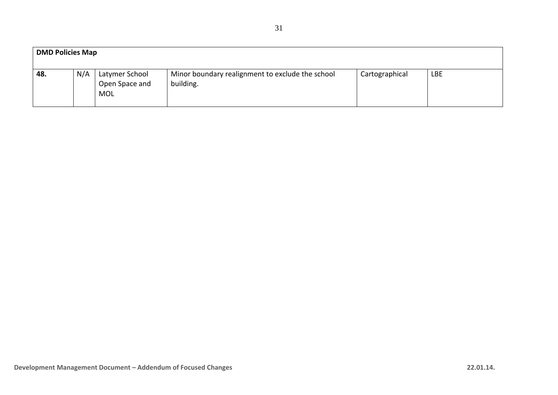| <b>DMD Policies Map</b> |     |                                                |                                                               |                |            |  |
|-------------------------|-----|------------------------------------------------|---------------------------------------------------------------|----------------|------------|--|
| 48.                     | N/A | Latymer School<br>Open Space and<br><b>MOL</b> | Minor boundary realignment to exclude the school<br>building. | Cartographical | <b>LBE</b> |  |